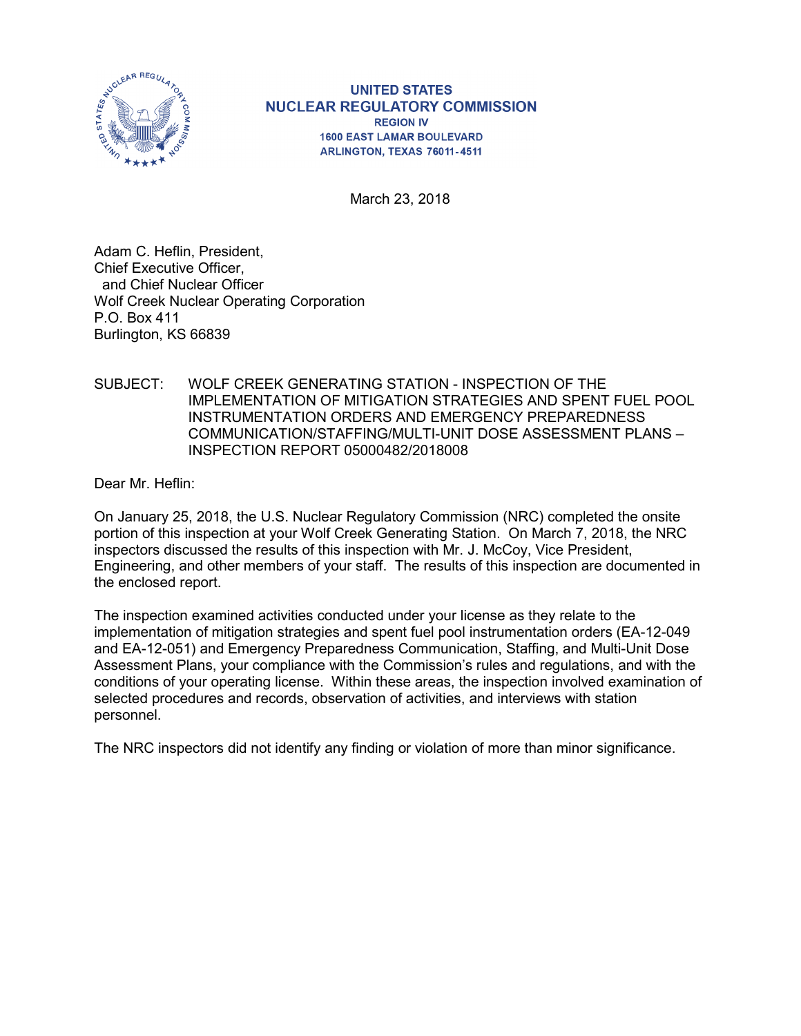

**UNITED STATES NUCLEAR REGULATORY COMMISSION REGION IV 1600 EAST LAMAR BOULEVARD** ARLINGTON, TEXAS 76011-4511

March 23, 2018

Adam C. Heflin, President, Chief Executive Officer, and Chief Nuclear Officer Wolf Creek Nuclear Operating Corporation P.O. Box 411 Burlington, KS 66839

SUBJECT: WOLF CREEK GENERATING STATION - INSPECTION OF THE IMPLEMENTATION OF MITIGATION STRATEGIES AND SPENT FUEL POOL INSTRUMENTATION ORDERS AND EMERGENCY PREPAREDNESS COMMUNICATION/STAFFING/MULTI-UNIT DOSE ASSESSMENT PLANS – INSPECTION REPORT 05000482/2018008

Dear Mr. Heflin:

On January 25, 2018, the U.S. Nuclear Regulatory Commission (NRC) completed the onsite portion of this inspection at your Wolf Creek Generating Station. On March 7, 2018, the NRC inspectors discussed the results of this inspection with Mr. J. McCoy, Vice President, Engineering, and other members of your staff. The results of this inspection are documented in the enclosed report.

The inspection examined activities conducted under your license as they relate to the implementation of mitigation strategies and spent fuel pool instrumentation orders (EA-12-049 and EA-12-051) and Emergency Preparedness Communication, Staffing, and Multi-Unit Dose Assessment Plans, your compliance with the Commission's rules and regulations, and with the conditions of your operating license. Within these areas, the inspection involved examination of selected procedures and records, observation of activities, and interviews with station personnel.

The NRC inspectors did not identify any finding or violation of more than minor significance.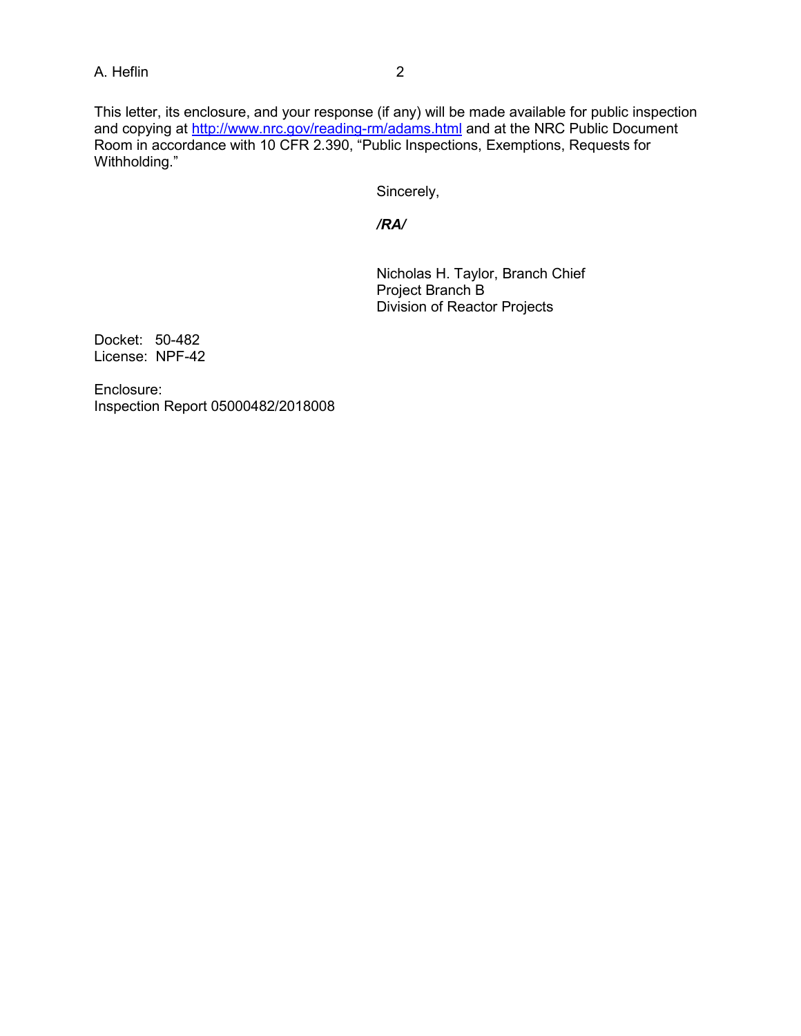#### A. Heflin 2

This letter, its enclosure, and your response (if any) will be made available for public inspection and copying at<http://www.nrc.gov/reading-rm/adams.html> and at the NRC Public Document Room in accordance with 10 CFR 2.390, "Public Inspections, Exemptions, Requests for Withholding."

Sincerely,

*/RA/*

Nicholas H. Taylor, Branch Chief Project Branch B Division of Reactor Projects

Docket: 50-482 License: NPF-42

Enclosure: Inspection Report 05000482/2018008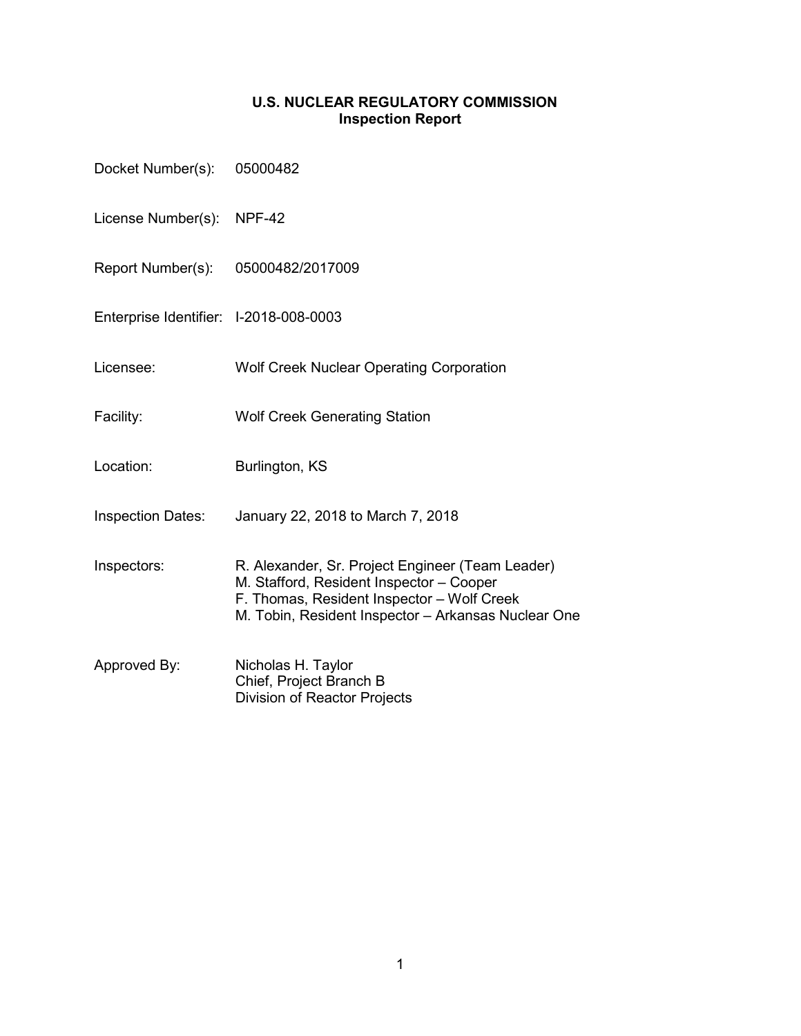### **U.S. NUCLEAR REGULATORY COMMISSION Inspection Report**

| Docket Number(s):                      | 05000482                                                                                                                                                                                          |
|----------------------------------------|---------------------------------------------------------------------------------------------------------------------------------------------------------------------------------------------------|
| License Number(s):                     | <b>NPF-42</b>                                                                                                                                                                                     |
| Report Number(s):                      | 05000482/2017009                                                                                                                                                                                  |
| Enterprise Identifier: I-2018-008-0003 |                                                                                                                                                                                                   |
| Licensee:                              | <b>Wolf Creek Nuclear Operating Corporation</b>                                                                                                                                                   |
| Facility:                              | <b>Wolf Creek Generating Station</b>                                                                                                                                                              |
| Location:                              | Burlington, KS                                                                                                                                                                                    |
| <b>Inspection Dates:</b>               | January 22, 2018 to March 7, 2018                                                                                                                                                                 |
| Inspectors:                            | R. Alexander, Sr. Project Engineer (Team Leader)<br>M. Stafford, Resident Inspector - Cooper<br>F. Thomas, Resident Inspector - Wolf Creek<br>M. Tobin, Resident Inspector - Arkansas Nuclear One |
| Approved By:                           | Nicholas H. Taylor<br>Chief, Project Branch B<br><b>Division of Reactor Projects</b>                                                                                                              |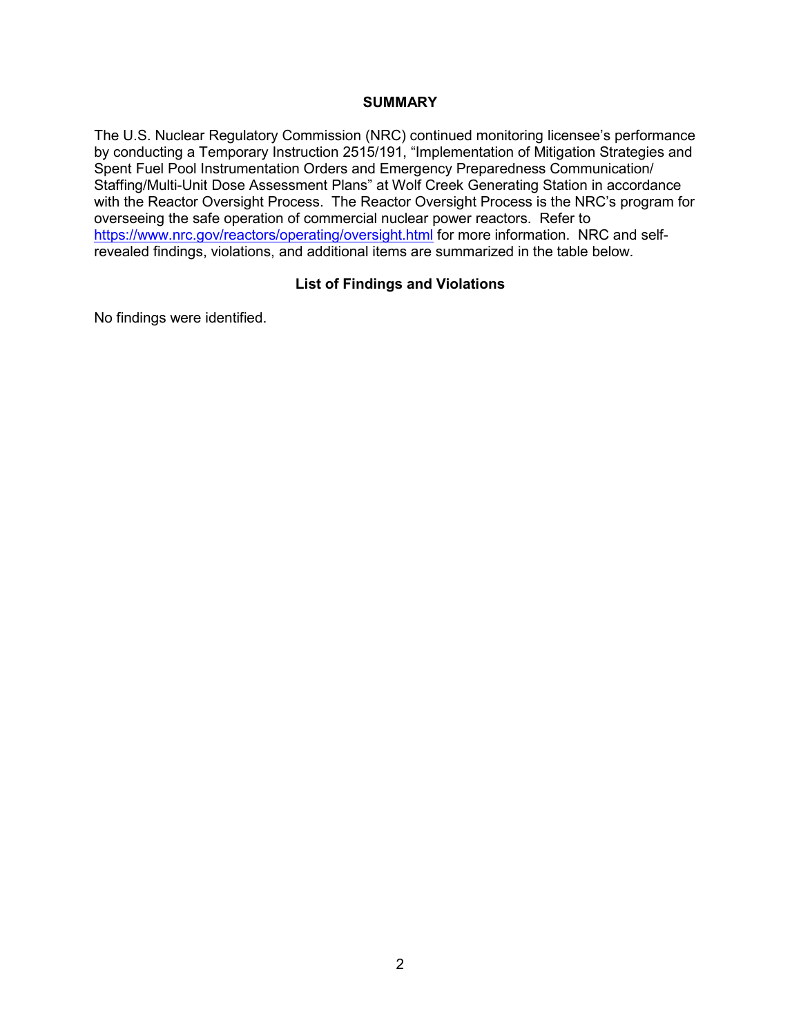#### **SUMMARY**

The U.S. Nuclear Regulatory Commission (NRC) continued monitoring licensee's performance by conducting a Temporary Instruction 2515/191, "Implementation of Mitigation Strategies and Spent Fuel Pool Instrumentation Orders and Emergency Preparedness Communication/ Staffing/Multi-Unit Dose Assessment Plans" at Wolf Creek Generating Station in accordance with the Reactor Oversight Process. The Reactor Oversight Process is the NRC's program for overseeing the safe operation of commercial nuclear power reactors. Refer to <https://www.nrc.gov/reactors/operating/oversight.html> for more information. NRC and selfrevealed findings, violations, and additional items are summarized in the table below.

### **List of Findings and Violations**

No findings were identified.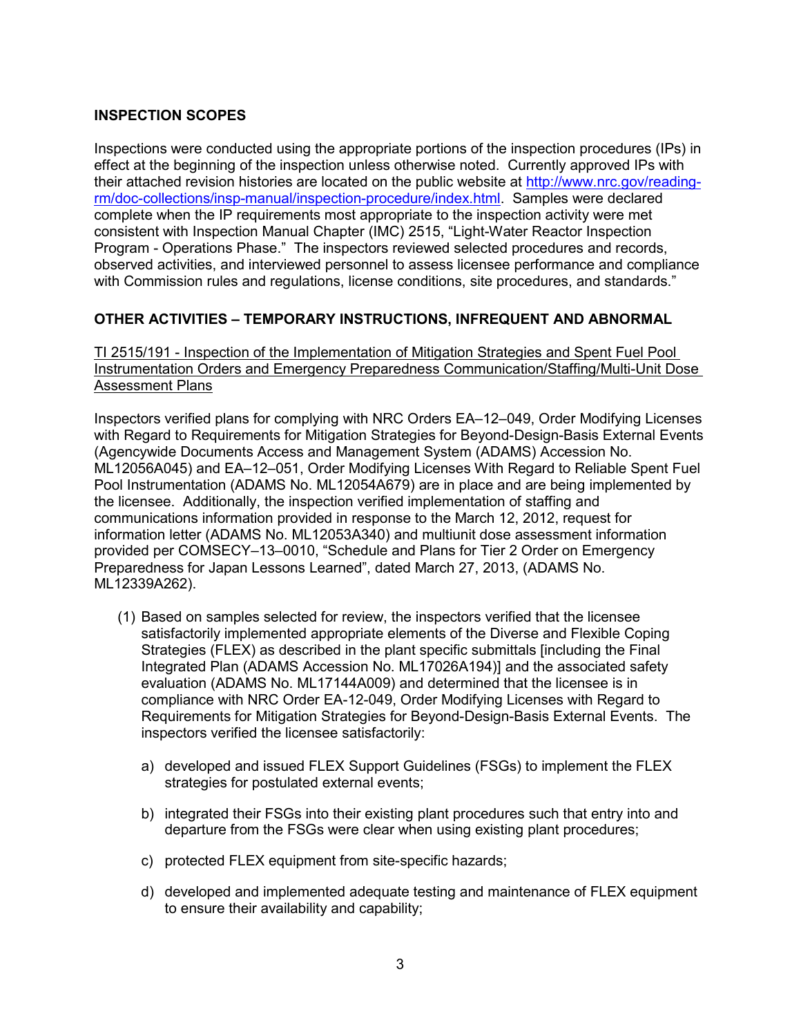### **INSPECTION SCOPES**

Inspections were conducted using the appropriate portions of the inspection procedures (IPs) in effect at the beginning of the inspection unless otherwise noted. Currently approved IPs with their attached revision histories are located on the public website at [http://www.nrc.gov/reading](http://www.nrc.gov/reading-rm/doc-collections/insp-manual/inspection-procedure/index.html)[rm/doc-collections/insp-manual/inspection-procedure/index.html.](http://www.nrc.gov/reading-rm/doc-collections/insp-manual/inspection-procedure/index.html) Samples were declared complete when the IP requirements most appropriate to the inspection activity were met consistent with Inspection Manual Chapter (IMC) 2515, "Light-Water Reactor Inspection Program - Operations Phase." The inspectors reviewed selected procedures and records, observed activities, and interviewed personnel to assess licensee performance and compliance with Commission rules and regulations, license conditions, site procedures, and standards."

### **OTHER ACTIVITIES – TEMPORARY INSTRUCTIONS, INFREQUENT AND ABNORMAL**

TI 2515/191 - Inspection of the Implementation of Mitigation Strategies and Spent Fuel Pool Instrumentation Orders and Emergency Preparedness Communication/Staffing/Multi-Unit Dose Assessment Plans

Inspectors verified plans for complying with NRC Orders EA–12–049, Order Modifying Licenses with Regard to Requirements for Mitigation Strategies for Beyond-Design-Basis External Events (Agencywide Documents Access and Management System (ADAMS) Accession No. ML12056A045) and EA–12–051, Order Modifying Licenses With Regard to Reliable Spent Fuel Pool Instrumentation (ADAMS No. ML12054A679) are in place and are being implemented by the licensee. Additionally, the inspection verified implementation of staffing and communications information provided in response to the March 12, 2012, request for information letter (ADAMS No. ML12053A340) and multiunit dose assessment information provided per COMSECY–13–0010, "Schedule and Plans for Tier 2 Order on Emergency Preparedness for Japan Lessons Learned", dated March 27, 2013, (ADAMS No. ML12339A262).

- (1) Based on samples selected for review, the inspectors verified that the licensee satisfactorily implemented appropriate elements of the Diverse and Flexible Coping Strategies (FLEX) as described in the plant specific submittals [including the Final Integrated Plan (ADAMS Accession No. ML17026A194)] and the associated safety evaluation (ADAMS No. ML17144A009) and determined that the licensee is in compliance with NRC Order EA-12-049, Order Modifying Licenses with Regard to Requirements for Mitigation Strategies for Beyond-Design-Basis External Events. The inspectors verified the licensee satisfactorily:
	- a) developed and issued FLEX Support Guidelines (FSGs) to implement the FLEX strategies for postulated external events;
	- b) integrated their FSGs into their existing plant procedures such that entry into and departure from the FSGs were clear when using existing plant procedures;
	- c) protected FLEX equipment from site-specific hazards;
	- d) developed and implemented adequate testing and maintenance of FLEX equipment to ensure their availability and capability;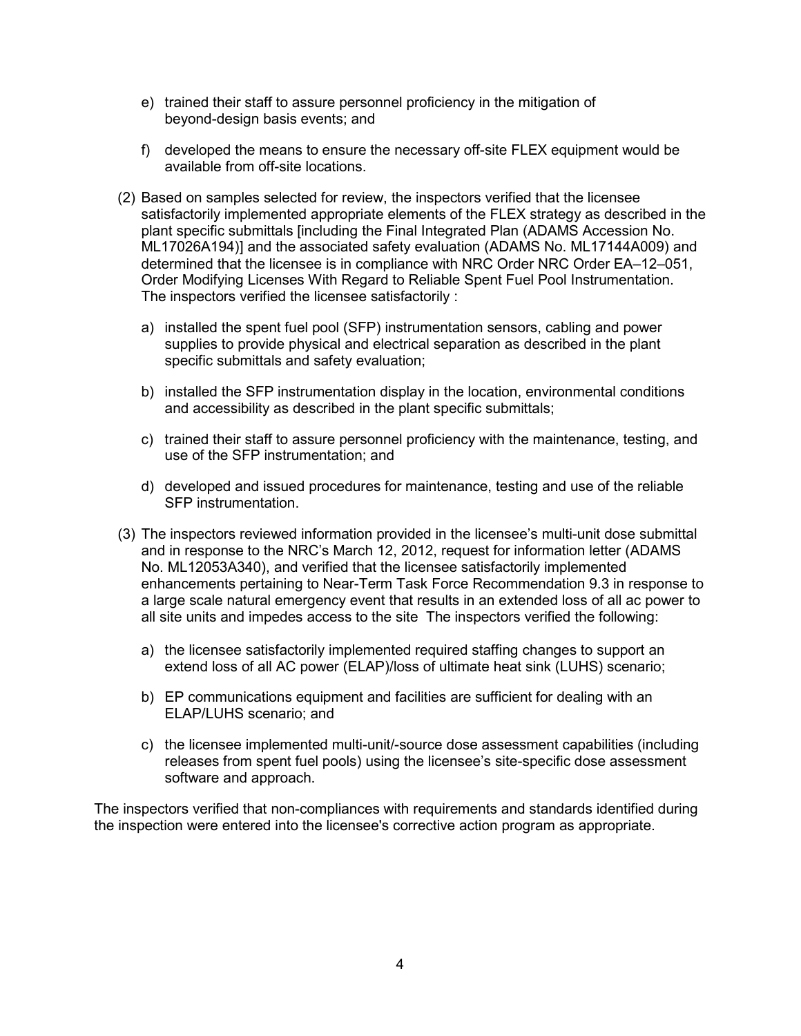- e) trained their staff to assure personnel proficiency in the mitigation of beyond-design basis events; and
- f) developed the means to ensure the necessary off-site FLEX equipment would be available from off-site locations.
- (2) Based on samples selected for review, the inspectors verified that the licensee satisfactorily implemented appropriate elements of the FLEX strategy as described in the plant specific submittals [including the Final Integrated Plan (ADAMS Accession No. ML17026A194)] and the associated safety evaluation (ADAMS No. ML17144A009) and determined that the licensee is in compliance with NRC Order NRC Order EA–12–051, Order Modifying Licenses With Regard to Reliable Spent Fuel Pool Instrumentation. The inspectors verified the licensee satisfactorily :
	- a) installed the spent fuel pool (SFP) instrumentation sensors, cabling and power supplies to provide physical and electrical separation as described in the plant specific submittals and safety evaluation;
	- b) installed the SFP instrumentation display in the location, environmental conditions and accessibility as described in the plant specific submittals;
	- c) trained their staff to assure personnel proficiency with the maintenance, testing, and use of the SFP instrumentation; and
	- d) developed and issued procedures for maintenance, testing and use of the reliable SFP instrumentation.
- (3) The inspectors reviewed information provided in the licensee's multi-unit dose submittal and in response to the NRC's March 12, 2012, request for information letter (ADAMS No. ML12053A340), and verified that the licensee satisfactorily implemented enhancements pertaining to Near-Term Task Force Recommendation 9.3 in response to a large scale natural emergency event that results in an extended loss of all ac power to all site units and impedes access to the site The inspectors verified the following:
	- a) the licensee satisfactorily implemented required staffing changes to support an extend loss of all AC power (ELAP)/loss of ultimate heat sink (LUHS) scenario;
	- b) EP communications equipment and facilities are sufficient for dealing with an ELAP/LUHS scenario; and
	- c) the licensee implemented multi-unit/-source dose assessment capabilities (including releases from spent fuel pools) using the licensee's site-specific dose assessment software and approach.

The inspectors verified that non-compliances with requirements and standards identified during the inspection were entered into the licensee's corrective action program as appropriate.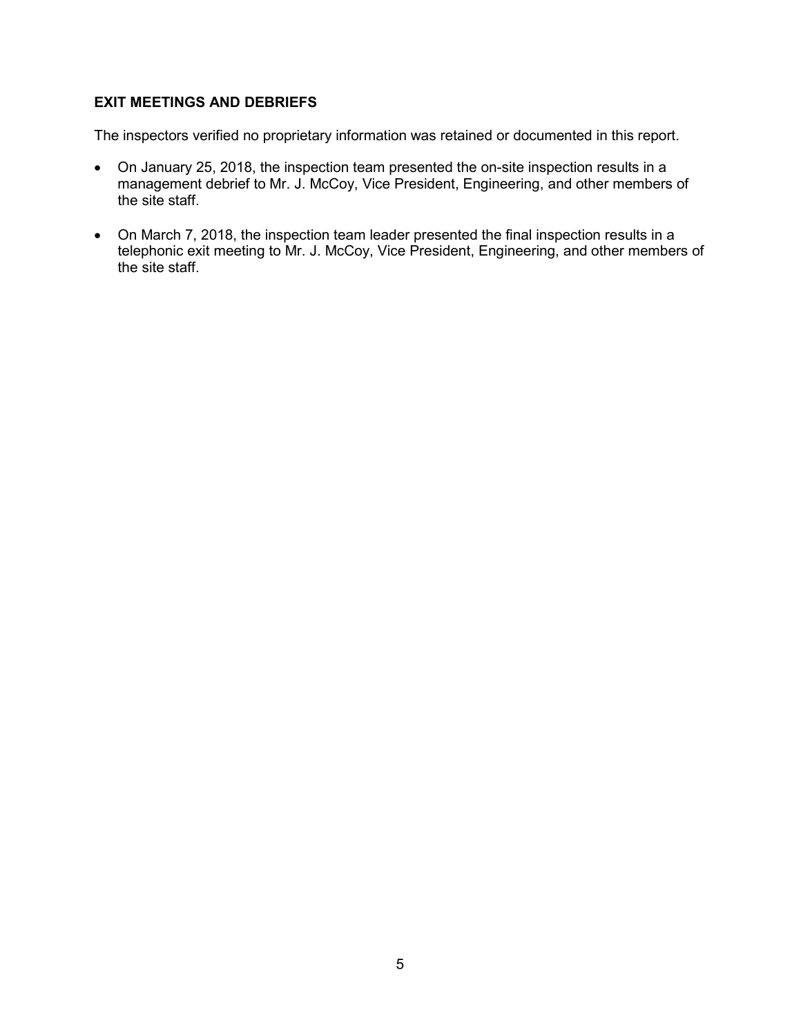### **EXIT MEETINGS AND DEBRIEFS**

The inspectors verified no proprietary information was retained or documented in this report.

- On January 25, 2018, the inspection team presented the on-site inspection results in a management debrief to Mr. J. McCoy, Vice President, Engineering, and other members of the site staff.
- On March 7, 2018, the inspection team leader presented the final inspection results in a telephonic exit meeting to Mr. J. McCoy, Vice President, Engineering, and other members of the site staff.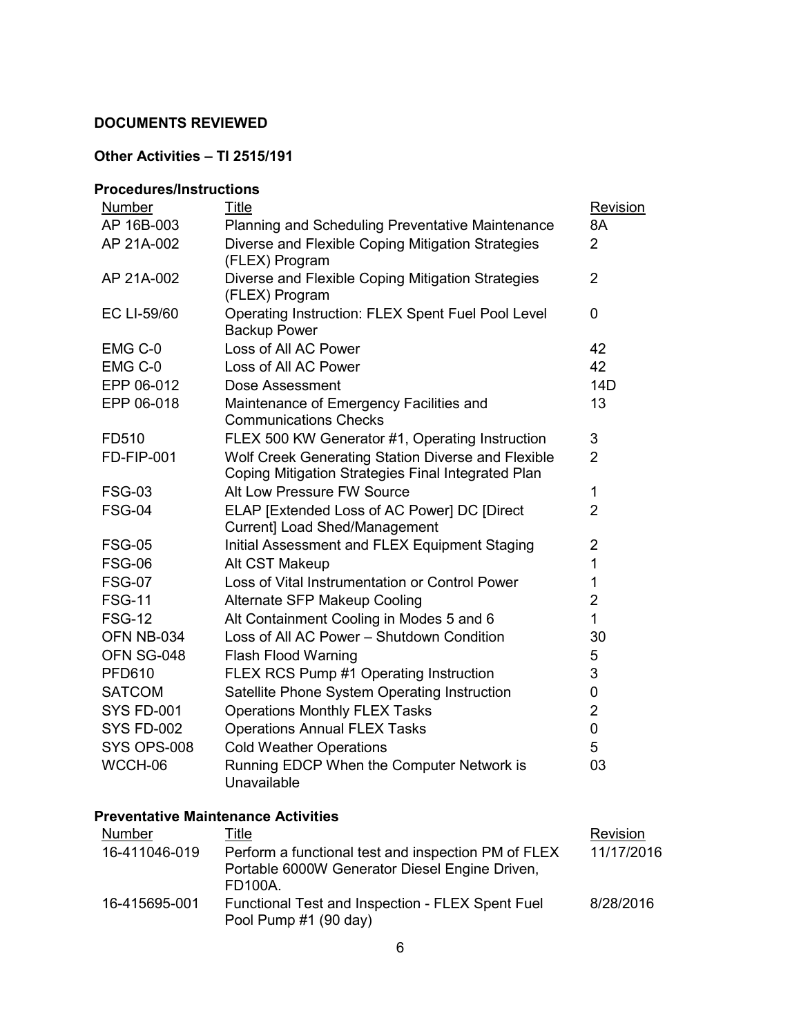### **DOCUMENTS REVIEWED**

# **Other Activities – TI 2515/191**

### **Procedures/Instructions**

| Number            | <b>Title</b>                                                                                             | Revision       |
|-------------------|----------------------------------------------------------------------------------------------------------|----------------|
| AP 16B-003        | <b>Planning and Scheduling Preventative Maintenance</b>                                                  | 8A             |
| AP 21A-002        | Diverse and Flexible Coping Mitigation Strategies<br>(FLEX) Program                                      | $\overline{2}$ |
| AP 21A-002        | Diverse and Flexible Coping Mitigation Strategies<br>(FLEX) Program                                      | $\overline{2}$ |
| EC LI-59/60       | Operating Instruction: FLEX Spent Fuel Pool Level<br><b>Backup Power</b>                                 | $\overline{0}$ |
| EMG C-0           | Loss of All AC Power                                                                                     | 42             |
| EMG C-0           | Loss of All AC Power                                                                                     | 42             |
| EPP 06-012        | Dose Assessment                                                                                          | 14D            |
| EPP 06-018        | Maintenance of Emergency Facilities and<br><b>Communications Checks</b>                                  | 13             |
| FD510             | FLEX 500 KW Generator #1, Operating Instruction                                                          | 3              |
| <b>FD-FIP-001</b> | Wolf Creek Generating Station Diverse and Flexible<br>Coping Mitigation Strategies Final Integrated Plan | $\overline{2}$ |
| <b>FSG-03</b>     | Alt Low Pressure FW Source                                                                               | 1              |
| <b>FSG-04</b>     | ELAP [Extended Loss of AC Power] DC [Direct<br>Current] Load Shed/Management                             | $\overline{2}$ |
| <b>FSG-05</b>     | Initial Assessment and FLEX Equipment Staging                                                            | $\overline{2}$ |
| <b>FSG-06</b>     | Alt CST Makeup                                                                                           | 1              |
| <b>FSG-07</b>     | Loss of Vital Instrumentation or Control Power                                                           | 1              |
| <b>FSG-11</b>     | Alternate SFP Makeup Cooling                                                                             | $\overline{2}$ |
| <b>FSG-12</b>     | Alt Containment Cooling in Modes 5 and 6                                                                 | 1              |
| OFN NB-034        | Loss of All AC Power - Shutdown Condition                                                                | 30             |
| OFN SG-048        | <b>Flash Flood Warning</b>                                                                               | 5              |
| <b>PFD610</b>     | FLEX RCS Pump #1 Operating Instruction                                                                   | 3              |
| <b>SATCOM</b>     | Satellite Phone System Operating Instruction                                                             | 0              |
| <b>SYS FD-001</b> | <b>Operations Monthly FLEX Tasks</b>                                                                     | $\overline{2}$ |
| <b>SYS FD-002</b> | <b>Operations Annual FLEX Tasks</b>                                                                      | $\overline{0}$ |
| SYS OPS-008       | <b>Cold Weather Operations</b>                                                                           | 5              |
| WCCH-06           | Running EDCP When the Computer Network is<br>Unavailable                                                 | 03             |

### **Preventative Maintenance Activities**

| Number        | Title                                                                                                            | Revision   |
|---------------|------------------------------------------------------------------------------------------------------------------|------------|
| 16-411046-019 | Perform a functional test and inspection PM of FLEX<br>Portable 6000W Generator Diesel Engine Driven,<br>FD100A. | 11/17/2016 |
| 16-415695-001 | Functional Test and Inspection - FLEX Spent Fuel<br>Pool Pump #1 (90 day)                                        | 8/28/2016  |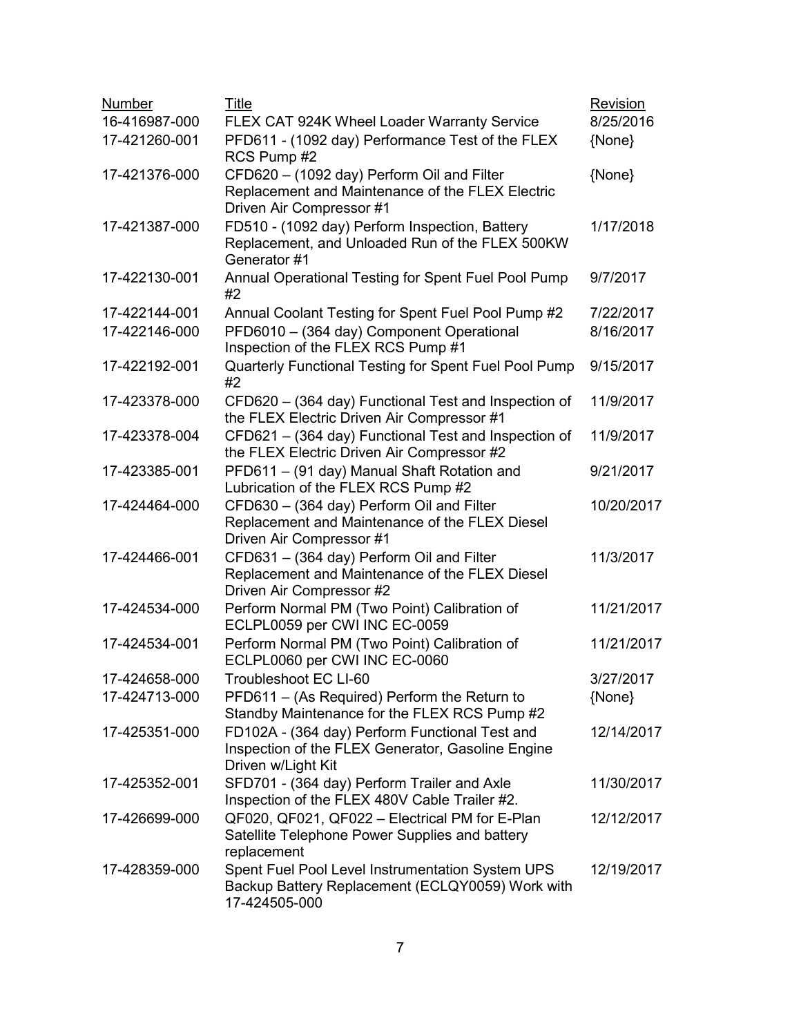| Number        | <b>Title</b>                                                                                                               | Revision   |
|---------------|----------------------------------------------------------------------------------------------------------------------------|------------|
| 16-416987-000 | FLEX CAT 924K Wheel Loader Warranty Service                                                                                | 8/25/2016  |
| 17-421260-001 | PFD611 - (1092 day) Performance Test of the FLEX<br>RCS Pump #2                                                            | {None}     |
| 17-421376-000 | CFD620 - (1092 day) Perform Oil and Filter<br>Replacement and Maintenance of the FLEX Electric<br>Driven Air Compressor #1 | {None}     |
| 17-421387-000 | FD510 - (1092 day) Perform Inspection, Battery<br>Replacement, and Unloaded Run of the FLEX 500KW<br>Generator #1          | 1/17/2018  |
| 17-422130-001 | Annual Operational Testing for Spent Fuel Pool Pump<br>#2                                                                  | 9/7/2017   |
| 17-422144-001 | Annual Coolant Testing for Spent Fuel Pool Pump #2                                                                         | 7/22/2017  |
| 17-422146-000 | PFD6010 - (364 day) Component Operational<br>Inspection of the FLEX RCS Pump #1                                            | 8/16/2017  |
| 17-422192-001 | Quarterly Functional Testing for Spent Fuel Pool Pump<br>#2                                                                | 9/15/2017  |
| 17-423378-000 | CFD620 - (364 day) Functional Test and Inspection of<br>the FLEX Electric Driven Air Compressor #1                         | 11/9/2017  |
| 17-423378-004 | CFD621 - (364 day) Functional Test and Inspection of<br>the FLEX Electric Driven Air Compressor #2                         | 11/9/2017  |
| 17-423385-001 | PFD611 - (91 day) Manual Shaft Rotation and<br>Lubrication of the FLEX RCS Pump #2                                         | 9/21/2017  |
| 17-424464-000 | CFD630 - (364 day) Perform Oil and Filter<br>Replacement and Maintenance of the FLEX Diesel<br>Driven Air Compressor #1    | 10/20/2017 |
| 17-424466-001 | CFD631 - (364 day) Perform Oil and Filter<br>Replacement and Maintenance of the FLEX Diesel<br>Driven Air Compressor #2    | 11/3/2017  |
| 17-424534-000 | Perform Normal PM (Two Point) Calibration of<br>ECLPL0059 per CWI INC EC-0059                                              | 11/21/2017 |
| 17-424534-001 | Perform Normal PM (Two Point) Calibration of<br>ECLPL0060 per CWI INC EC-0060                                              | 11/21/2017 |
| 17-424658-000 | Troubleshoot EC LI-60                                                                                                      | 3/27/2017  |
| 17-424713-000 | PFD611 – (As Required) Perform the Return to<br>Standby Maintenance for the FLEX RCS Pump #2                               | {None}     |
| 17-425351-000 | FD102A - (364 day) Perform Functional Test and<br>Inspection of the FLEX Generator, Gasoline Engine<br>Driven w/Light Kit  | 12/14/2017 |
| 17-425352-001 | SFD701 - (364 day) Perform Trailer and Axle<br>Inspection of the FLEX 480V Cable Trailer #2.                               | 11/30/2017 |
| 17-426699-000 | QF020, QF021, QF022 - Electrical PM for E-Plan<br>Satellite Telephone Power Supplies and battery<br>replacement            | 12/12/2017 |
| 17-428359-000 | Spent Fuel Pool Level Instrumentation System UPS<br>Backup Battery Replacement (ECLQY0059) Work with<br>17-424505-000      | 12/19/2017 |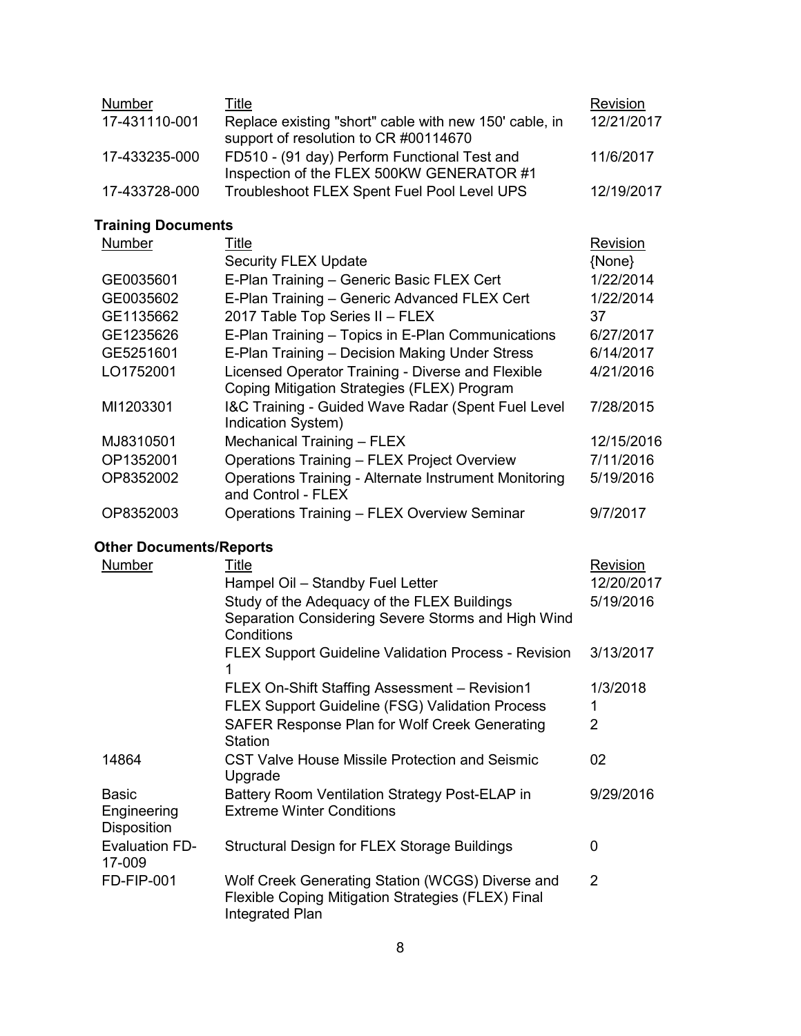| Number        | Title                                                                                           | Revision   |
|---------------|-------------------------------------------------------------------------------------------------|------------|
| 17-431110-001 | Replace existing "short" cable with new 150' cable, in<br>support of resolution to CR #00114670 | 12/21/2017 |
| 17-433235-000 | FD510 - (91 day) Perform Functional Test and<br>Inspection of the FLEX 500KW GENERATOR #1       | 11/6/2017  |
| 17-433728-000 | Troubleshoot FLEX Spent Fuel Pool Level UPS                                                     | 12/19/2017 |

# **Training Documents**

| <b>Number</b> | Title                                                                              | Revision   |
|---------------|------------------------------------------------------------------------------------|------------|
|               | <b>Security FLEX Update</b>                                                        | {None}     |
| GE0035601     | E-Plan Training - Generic Basic FLEX Cert                                          | 1/22/2014  |
| GE0035602     | E-Plan Training - Generic Advanced FLEX Cert                                       | 1/22/2014  |
| GE1135662     | 2017 Table Top Series II - FLEX                                                    | 37         |
| GE1235626     | E-Plan Training - Topics in E-Plan Communications                                  | 6/27/2017  |
| GE5251601     | E-Plan Training - Decision Making Under Stress                                     | 6/14/2017  |
| LO1752001     | Licensed Operator Training - Diverse and Flexible                                  | 4/21/2016  |
|               | Coping Mitigation Strategies (FLEX) Program                                        |            |
| MI1203301     | I&C Training - Guided Wave Radar (Spent Fuel Level<br>Indication System)           | 7/28/2015  |
| MJ8310501     | Mechanical Training - FLEX                                                         | 12/15/2016 |
| OP1352001     | Operations Training - FLEX Project Overview                                        | 7/11/2016  |
| OP8352002     | <b>Operations Training - Alternate Instrument Monitoring</b><br>and Control - FLEX | 5/19/2016  |
| OP8352003     | Operations Training - FLEX Overview Seminar                                        | 9/7/2017   |

# **Other Documents/Reports**

| Number                                            | <u>Title</u><br>Hampel Oil - Standby Fuel Letter                                                                          | Revision<br>12/20/2017 |
|---------------------------------------------------|---------------------------------------------------------------------------------------------------------------------------|------------------------|
|                                                   | Study of the Adequacy of the FLEX Buildings<br>Separation Considering Severe Storms and High Wind<br>Conditions           | 5/19/2016              |
|                                                   | <b>FLEX Support Guideline Validation Process - Revision</b><br>1                                                          | 3/13/2017              |
|                                                   | FLEX On-Shift Staffing Assessment - Revision1                                                                             | 1/3/2018               |
|                                                   | <b>FLEX Support Guideline (FSG) Validation Process</b>                                                                    | 1                      |
|                                                   | SAFER Response Plan for Wolf Creek Generating<br>Station                                                                  | 2                      |
| 14864                                             | CST Valve House Missile Protection and Seismic<br>Upgrade                                                                 | 02                     |
| <b>Basic</b><br>Engineering<br><b>Disposition</b> | Battery Room Ventilation Strategy Post-ELAP in<br><b>Extreme Winter Conditions</b>                                        | 9/29/2016              |
| <b>Evaluation FD-</b><br>17-009                   | Structural Design for FLEX Storage Buildings                                                                              | 0                      |
| <b>FD-FIP-001</b>                                 | Wolf Creek Generating Station (WCGS) Diverse and<br>Flexible Coping Mitigation Strategies (FLEX) Final<br>Integrated Plan | 2                      |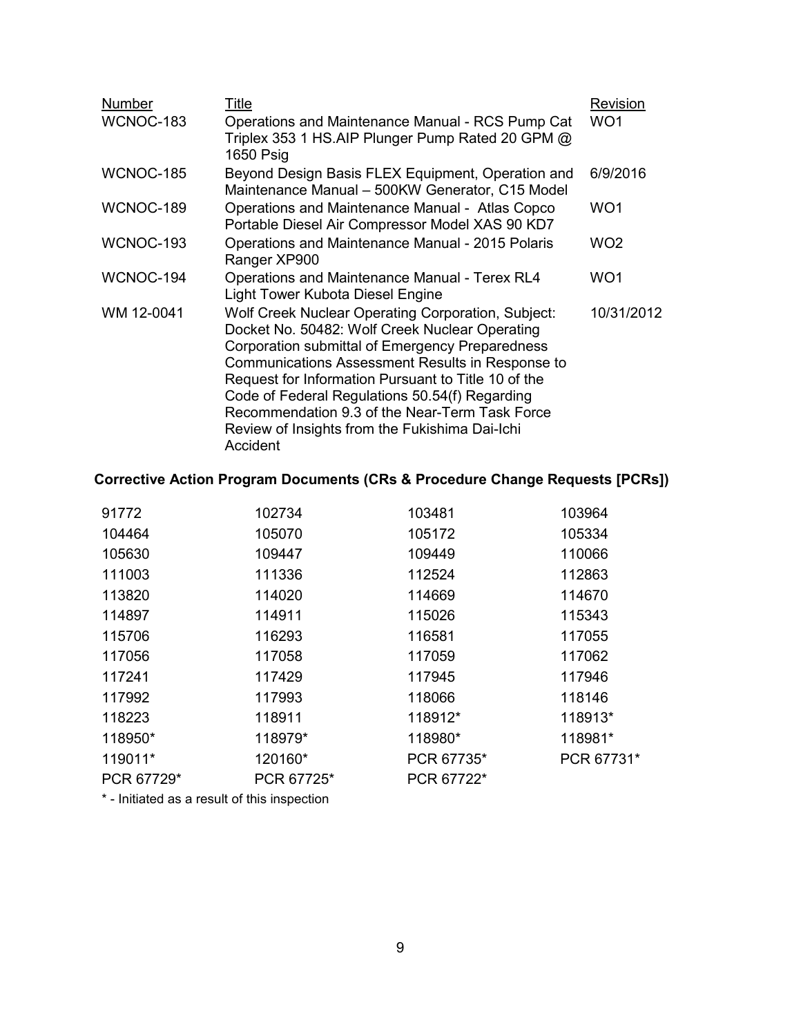| Number     | <u>Title</u>                                                                                                                                                                                                                                                                                                                                                                                                                         | Revision        |
|------------|--------------------------------------------------------------------------------------------------------------------------------------------------------------------------------------------------------------------------------------------------------------------------------------------------------------------------------------------------------------------------------------------------------------------------------------|-----------------|
| WCNOC-183  | Operations and Maintenance Manual - RCS Pump Cat<br>Triplex 353 1 HS.AIP Plunger Pump Rated 20 GPM @<br>1650 Psig                                                                                                                                                                                                                                                                                                                    | WO <sub>1</sub> |
| WCNOC-185  | Beyond Design Basis FLEX Equipment, Operation and<br>Maintenance Manual - 500KW Generator, C15 Model                                                                                                                                                                                                                                                                                                                                 | 6/9/2016        |
| WCNOC-189  | Operations and Maintenance Manual - Atlas Copco<br>Portable Diesel Air Compressor Model XAS 90 KD7                                                                                                                                                                                                                                                                                                                                   | WO <sub>1</sub> |
| WCNOC-193  | Operations and Maintenance Manual - 2015 Polaris<br>Ranger XP900                                                                                                                                                                                                                                                                                                                                                                     | WO <sub>2</sub> |
| WCNOC-194  | Operations and Maintenance Manual - Terex RL4<br>Light Tower Kubota Diesel Engine                                                                                                                                                                                                                                                                                                                                                    | WO <sub>1</sub> |
| WM 12-0041 | Wolf Creek Nuclear Operating Corporation, Subject:<br>Docket No. 50482: Wolf Creek Nuclear Operating<br>Corporation submittal of Emergency Preparedness<br>Communications Assessment Results in Response to<br>Request for Information Pursuant to Title 10 of the<br>Code of Federal Regulations 50.54(f) Regarding<br>Recommendation 9.3 of the Near-Term Task Force<br>Review of Insights from the Fukishima Dai-Ichi<br>Accident | 10/31/2012      |

# **Corrective Action Program Documents (CRs & Procedure Change Requests [PCRs])**

| 91772      | 102734     | 103481     | 103964     |
|------------|------------|------------|------------|
| 104464     | 105070     | 105172     | 105334     |
| 105630     | 109447     | 109449     | 110066     |
| 111003     | 111336     | 112524     | 112863     |
| 113820     | 114020     | 114669     | 114670     |
| 114897     | 114911     | 115026     | 115343     |
| 115706     | 116293     | 116581     | 117055     |
| 117056     | 117058     | 117059     | 117062     |
| 117241     | 117429     | 117945     | 117946     |
| 117992     | 117993     | 118066     | 118146     |
| 118223     | 118911     | 118912*    | 118913*    |
| 118950*    | 118979*    | 118980*    | 118981*    |
| 119011*    | 120160*    | PCR 67735* | PCR 67731* |
| PCR 67729* | PCR 67725* | PCR 67722* |            |
|            |            |            |            |

\* - Initiated as a result of this inspection